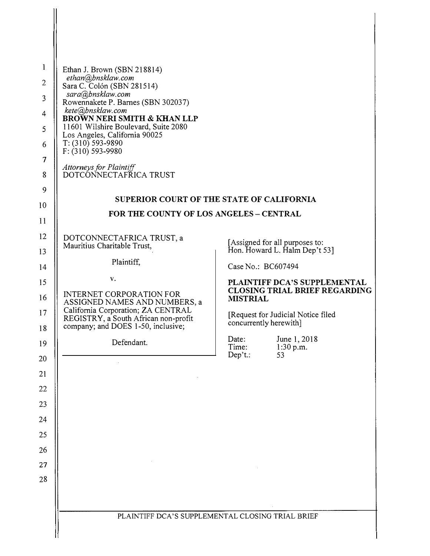| 1<br>$\overline{2}$<br>3<br>$\overline{4}$<br>5<br>6<br>7<br>8<br>9<br>10 | Ethan J. Brown (SBN 218814)<br>ethan@bnsklaw.com<br>Sara C. Colón (SBN 281514)<br>sara@bnsklaw.com<br>Rowennakete P. Barnes (SBN 302037)<br>kete@bnsklaw.com<br>BROWN NERI SMITH & KHAN LLP<br>11601 Wilshire Boulevard, Suite 2080<br>Los Angeles, California 90025<br>$T: (310) 593 - 9890$<br>$F: (310) 593 - 9980$<br><b>Attorneys for Plaintiff</b><br>DOTCONNECTAFRICA TRUST | SUPERIOR COURT OF THE STATE OF CALIFORNIA                            |
|---------------------------------------------------------------------------|------------------------------------------------------------------------------------------------------------------------------------------------------------------------------------------------------------------------------------------------------------------------------------------------------------------------------------------------------------------------------------|----------------------------------------------------------------------|
| 11                                                                        | FOR THE COUNTY OF LOS ANGELES - CENTRAL                                                                                                                                                                                                                                                                                                                                            |                                                                      |
| 12                                                                        | DOTCONNECTAFRICA TRUST, a                                                                                                                                                                                                                                                                                                                                                          |                                                                      |
| 13                                                                        | Mauritius Charitable Trust,                                                                                                                                                                                                                                                                                                                                                        | [Assigned for all purposes to:<br>Hon. Howard L. Halm Dep't 53]      |
| 14                                                                        | Plaintiff,                                                                                                                                                                                                                                                                                                                                                                         | Case No.: BC607494                                                   |
| 15                                                                        | v.                                                                                                                                                                                                                                                                                                                                                                                 | PLAINTIFF DCA'S SUPPLEMENTAL<br><b>CLOSING TRIAL BRIEF REGARDING</b> |
|                                                                           |                                                                                                                                                                                                                                                                                                                                                                                    |                                                                      |
| 16                                                                        | <b>INTERNET CORPORATION FOR</b><br>ASSIGNED NAMES AND NUMBERS, a                                                                                                                                                                                                                                                                                                                   | <b>MISTRIAL</b>                                                      |
| 17                                                                        | California Corporation; ZA CENTRAL<br>REGISTRY, a South African non-profit<br>company; and DOES 1-50, inclusive;                                                                                                                                                                                                                                                                   | [Request for Judicial Notice filed]<br>concurrently herewith]        |
| 18<br>19                                                                  | Defendant.                                                                                                                                                                                                                                                                                                                                                                         | June 1, 2018<br>Date:                                                |
| 20                                                                        |                                                                                                                                                                                                                                                                                                                                                                                    | Time:<br>1:30 p.m.<br>Dep't.:<br>53                                  |
| 21                                                                        |                                                                                                                                                                                                                                                                                                                                                                                    |                                                                      |
| 22                                                                        |                                                                                                                                                                                                                                                                                                                                                                                    |                                                                      |
| 23                                                                        |                                                                                                                                                                                                                                                                                                                                                                                    |                                                                      |
| 24                                                                        |                                                                                                                                                                                                                                                                                                                                                                                    |                                                                      |
| 25                                                                        |                                                                                                                                                                                                                                                                                                                                                                                    |                                                                      |
| 26                                                                        |                                                                                                                                                                                                                                                                                                                                                                                    |                                                                      |
| 27                                                                        |                                                                                                                                                                                                                                                                                                                                                                                    |                                                                      |
| 28                                                                        |                                                                                                                                                                                                                                                                                                                                                                                    |                                                                      |
|                                                                           |                                                                                                                                                                                                                                                                                                                                                                                    |                                                                      |
|                                                                           |                                                                                                                                                                                                                                                                                                                                                                                    | PLAINTIFF DCA'S SUPPLEMENTAL CLOSING TRIAL BRIEF                     |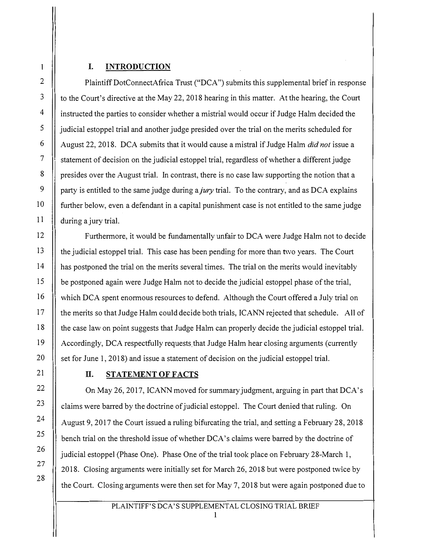### **I. INTRODUCTION**

Plaintiff DotConnectAfrica Trust ("DCA") submits this supplemental brief in response to the Court's directive at the May 22, 2018 hearing in this matter. At the hearing, the Court instructed the parties to consider whether a mistrial would occur if Judge Halm decided the judicial estoppel trial and another judge presided over the trial on the merits scheduled for August 22, 2018. DCA submits that it would cause a mistral if Judge Halm *did not* issue a statement of decision on the judicial estoppel trial, regardless of whether a different judge presides over the August trial. In contrast, there is no case law supporting the notion that a party is entitled to the same judge during a *jury* trial. To the contrary, and as DCA explains further below, even a defendant in a capital punishment case is not entitled to the same judge during a jury trial.

Furthermore, it would be fundamentally unfair to DCA were Judge Halm not to decide the judicial estoppel trial. This case has been pending for more than two years. The Court has postponed the trial on the merits several times. The trial on the merits would inevitably be postponed again were Judge Halm not to decide the judicial estoppel phase of the trial, which DCA spent enormous resources to defend. Although the Court offered a July trial on the merits so that Judge Halm could decide both trials, ICANN rejected that schedule. All of the case law on point suggests that Judge Halm can properly decide the judicial estoppel trial. Accordingly, DCA respectfully requests that Judge Halm hear closing arguments ( currently set for June 1, 2018) and issue a statement of decision on the judicial estoppel trial.

## **II. STATEMENTOFFACTS**

On May 26, 2017, ICANN moved for summary judgment, arguing in part that DCA's claims were barred by the doctrine of judicial estoppel. The Court denied that ruling. On August 9, 2017 the Court issued a ruling bifurcating the trial, and setting a February 28, 2018 bench trial on the threshold issue of whether DCA's claims were barred by the doctrine of judicial estoppel (Phase One). Phase One of the trial took place on February 28-March 1, 2018. Closing arguments were initially set for March 26, 2018 but were postponed twice by the Court. Closing arguments were then set for May 7, 2018 but were again postponed due to

## PLAINTIFF'S DCA'S S*U*PPLEMENTAL CLOSING TRIAL BRIEF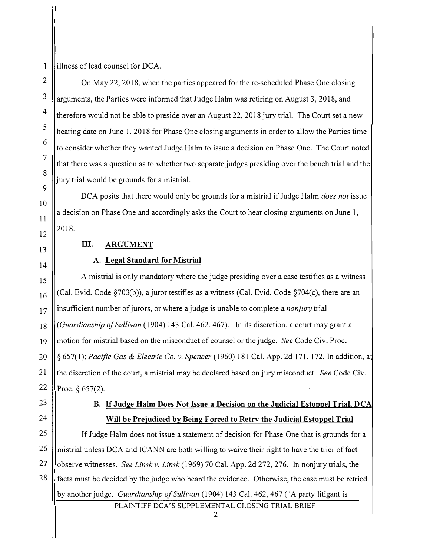1 2

3

4

5

6

7

8

9

10

11

12

13

14

illness of lead counsel for DCA.

On May 22, 2018, when the parties appeared for the re-scheduled Phase One closing arguments, the Parties were informed that Judge Halm was retiring on August 3, 2018, and therefore would not be able to preside over an August 22, 2018 jury trial. The Court set a new hearing date on June I, 2018 for Phase One closing arguments in order to allow the Parties time to consider whether they wanted Judge Halm to issue a decision on Phase One. The Court noted that there was a question as to whether two separate judges presiding over the bench trial and the jury trial would be grounds for a mistrial.

DCA posits that there would only be grounds for a mistrial if Judge Halm *does not* issue a decision on Phase One and accordingly asks the Court to hear closing arguments on June I, 2018.

## **III. ARGUMENT**

#### **A. Legal Standard for Mistrial**

15 16 17 18 19 20 21 22 A mistrial is only mandatory where the judge presiding over a case testifies as a witness (Cal. Evid. Code §703(b)), a juror testifies as a witness (Cal. Evid. Code §704(c), there are an insufficient number of jurors, or where a judge is unable to complete a *nonjury* trial *(Guardianship of Sullivan* (1904) 143 Cal. 462,467). In its discretion, a court may grant a motion for mistrial based on the misconduct of counsel or the judge. *See* Code Civ. Proc. § 657(1); *Pacific Gas & Electric Co. v. Spencer* (1960) 181 Cal. App. 2d 171, 172. In addition, a the discretion of the court, a mistrial may be declared based on jury misconduct. *See* Code Civ. Proc.  $§ 657(2)$ .

23

24

# **B. If Judge Halm Does Not Issue a Decision on the Judicial Estoppel Trial, DCA Will be Prejudiced by Being Forced to Retrv the Judicial Estoppel Trial**

25 26 27 28 If Judge Halm does not issue a statement of decision for Phase One that is grounds for a mistrial unless DCA and ICANN are both willing to waive their right to have the trier of fact observe witnesses. *See Linsk v. Linsk* (1969) 70 Cal. App. 2d 272, 276. In nonjury trials, the facts must be decided by the judge who heard the evidence. Otherwise, the case must be retried by another judge. *Guardianship of Sullivan* (1904) 143 Cal. 462,467 ("A party litigant is

PLAINTIFF DCA'S SUPPLEMENTAL CLOSING TRIAL BRIEF

2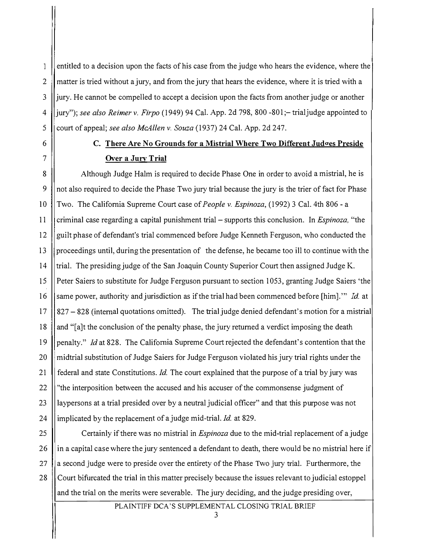entitled to a decision upon the facts of his case from the judge who hears the evidence, where the  $\mathbf{1}$ 2 matter is tried without a ju*r*y, and from the jury that hears the evidence, where it is tried with a 3 jury. He cannot be compelled to accept a decision upon the *f*acts from another judge or another 4 jury"); *see also Reimer v. Firpo* (1949) 94 Cal. App. 2d 798, 800-801;-trialjudge appointed to 5 Court of appeal; *see also McAllen v. Souza* (1937) 24 Cal. App. 2d 247.

# **6 C. There Are No Grounds for a Mistrial Where Two Different Judoes Preside 7 Over a Jury Trial**

8 | Although Judge Halm is required to decide Phase One in order to avoid a mistrial, he is 9 not also required to decide the Phase Two jury t*r*ial because the jury is the t*r*ier of fact *fo*r Phase IO Two. The California Supreme Court case of *People v. Espinoza,* (1992) 3 Cal. 4th 806 - <sup>a</sup> 11 criminal case regarding a capital punishment trial -supports this conclusion. In *Espinoza,* "the 12 Squilt phase of defendant's trial commenced before Judge Kenneth Ferguson, who conducted the 13 || proceedings until, during the presentation of the defense, he became too ill to continue with the 14 Trial. The presiding judge of the San Joaquin County Superior Court then assigned Judge K. 15 Peter Saiers to substitute for Judge Ferguson pursuant to section 1053, granting Judge Saiers 'the 16 Same power, authority and jurisdiction as if the trial had been commenced before [him]." *Id.* at 17 827 -828 (internal quotations omitted). The trial judge denied de*fe*ndant's motion *fo*r a mistrial 18 || and "[a]t the conclusion of the penalty phase, the jury returned a verdict imposing the death 19 penalty." *Id* at 828. The California Supreme Court rejected the defendant's contention that the 20 midtrial substitution of Judge Saiers *fo*r Judge Ferguson violated his jury trial rights under the 21 federal and state Constitutions. *Id.* The cou*r*t explained that the pu*r*pose of a trial by ju*r*y was 22 "the interposition between the accused and his accuser of the commonsense judgment of 23 laypersons at a t*r*ial presided over by a neutral judicial officer" and that this pu*r*pose was not 24 | implicated by the replacement of a judge mid-trial. *Id.* at 829.

25 Ce*r*tainly ifthere was no mist*r*ial in *Espinoza* due to the mid-t*r*ial replacement of a judge 26 in a capital case where the ju*r*y sentenced a defendant to death, there would be no mistrial here if 27 a second judge were to preside over the entirety of the Phase Two jury trial. Fu*r*the*r*more, the 28 Cou*r*t bi*f*urcated the trial in this matter precisely because the issues relevant to judicial estoppel and the t*r*ial on the merits were severable. The jury deciding, and the judge presiding over,

PLA**I**NTIFF DCA'S S*U*PPLEMENTAL CLOSING TRIAL BRIEF

3